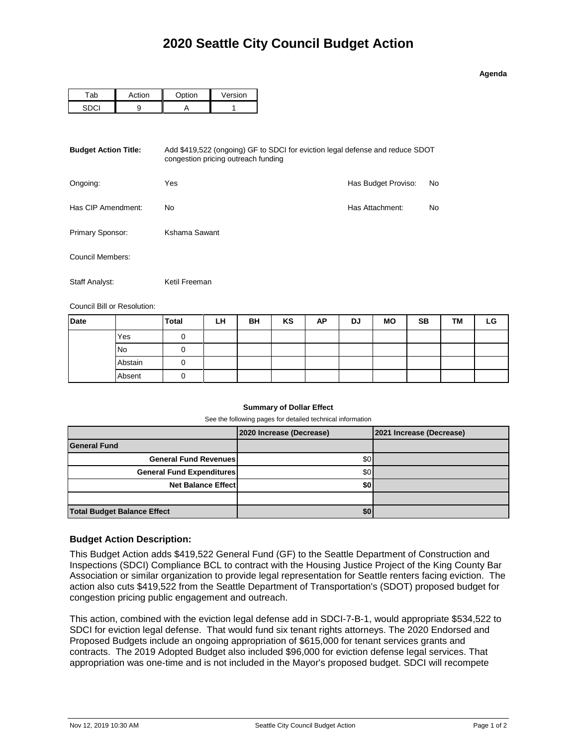#### **Agenda**

|  | $\sim$ tion | Version |  |  |
|--|-------------|---------|--|--|
|  |             |         |  |  |

| <b>Budget Action Title:</b> | Add \$419,522 (ongoing) GF to SDCI for eviction legal defense and reduce SDOT |                     |    |
|-----------------------------|-------------------------------------------------------------------------------|---------------------|----|
| Ongoing:                    | Yes                                                                           | Has Budget Proviso: | No |
| Has CIP Amendment:          | No                                                                            | Has Attachment:     | No |
| Primary Sponsor:            | Kshama Sawant                                                                 |                     |    |
| Council Members:            |                                                                               |                     |    |
| Staff Analyst:              | Ketil Freeman                                                                 |                     |    |

Council Bill or Resolution:

| <b>Date</b> |           | <b>Total</b> | LH | BH | KS | AP | DJ | <b>MO</b> | <b>SB</b> | <b>TM</b> | ∟G |
|-------------|-----------|--------------|----|----|----|----|----|-----------|-----------|-----------|----|
|             | Yes       |              |    |    |    |    |    |           |           |           |    |
|             | <b>No</b> |              |    |    |    |    |    |           |           |           |    |
|             | Abstain   |              |    |    |    |    |    |           |           |           |    |
|             | Absent    |              |    |    |    |    |    |           |           |           |    |

### **Summary of Dollar Effect**

See the following pages for detailed technical information

|                                    | 2020 Increase (Decrease) | 2021 Increase (Decrease) |
|------------------------------------|--------------------------|--------------------------|
| <b>General Fund</b>                |                          |                          |
| <b>General Fund Revenues</b>       | \$0                      |                          |
| <b>General Fund Expenditures</b>   | \$0 <sub>1</sub>         |                          |
| <b>Net Balance Effect</b>          | \$0                      |                          |
|                                    |                          |                          |
| <b>Total Budget Balance Effect</b> | \$0                      |                          |

## **Budget Action Description:**

This Budget Action adds \$419,522 General Fund (GF) to the Seattle Department of Construction and Inspections (SDCI) Compliance BCL to contract with the Housing Justice Project of the King County Bar Association or similar organization to provide legal representation for Seattle renters facing eviction. The action also cuts \$419,522 from the Seattle Department of Transportation's (SDOT) proposed budget for congestion pricing public engagement and outreach.

This action, combined with the eviction legal defense add in SDCI-7-B-1, would appropriate \$534,522 to SDCI for eviction legal defense. That would fund six tenant rights attorneys. The 2020 Endorsed and Proposed Budgets include an ongoing appropriation of \$615,000 for tenant services grants and contracts. The 2019 Adopted Budget also included \$96,000 for eviction defense legal services. That appropriation was one-time and is not included in the Mayor's proposed budget. SDCI will recompete